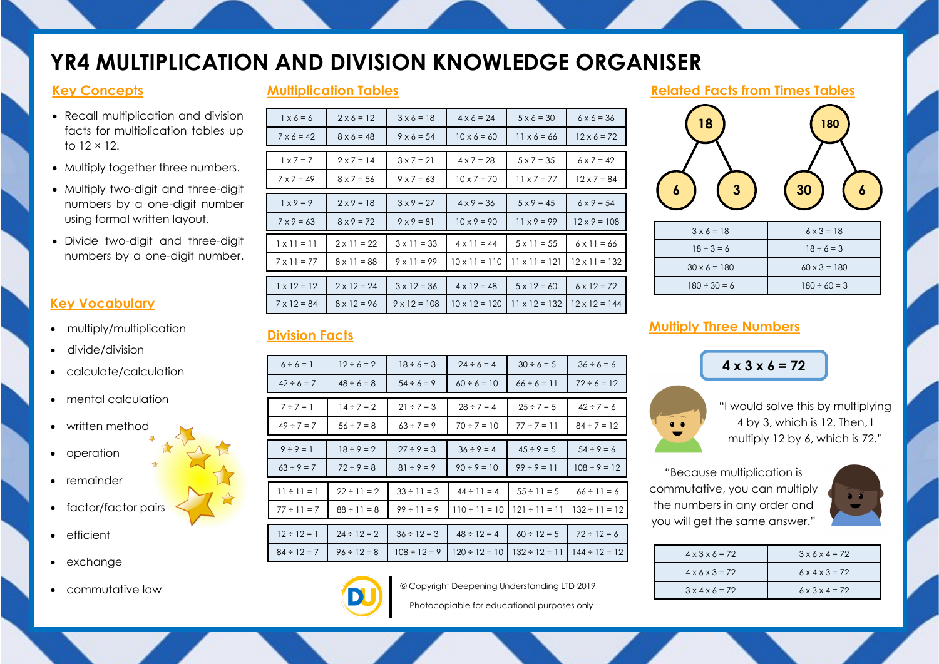# **YR4 MULTIPLICATION AND DIVISION KNOWLEDGE ORGANISER**

**Multiplication Tables**

### **Key Concepts**

- Recall multiplication and division facts for multiplication tables up  $t_0$  12  $\times$  12.
- Multiply together three numbers.
- Multiply two-digit and three-digit numbers by a one-digit number using formal written layout.
- Divide two-digit and three-digit numbers by a one-digit number.

### **Key Vocabulary**

- multiply/multiplication
- divide/division
- calculate/calculation
- mental calculation
- written method
- operation
- remainder
- factor/factor pairs
- **•** efficient
- exchange
- commutative law

| $6 \times 6 = 36$    |
|----------------------|
| $12 \times 6 = 72$   |
|                      |
| $6 \times 7 = 42$    |
| $12 \times 7 = 84$   |
|                      |
| $6 \times 9 = 54$    |
| $12 \times 9 = 108$  |
|                      |
| $6 \times 11 = 66$   |
| $12 \times 11 = 132$ |
|                      |
| $6 \times 12 = 72$   |
| $12 \times 12 = 144$ |
|                      |

#### **Related Facts from Times Tables**



| $3 \times 6 = 18$   | $6 \times 3 = 18$   |
|---------------------|---------------------|
| $18 \div 3 = 6$     | $18 \div 6 = 3$     |
| $30 \times 6 = 180$ | $60 \times 3 = 180$ |
| $180 \div 30 = 6$   | $180 \div 60 = 3$   |

## **Division Facts**

| $6 \div 6 = 1$   | $12 \div 6 = 2$  | $18 \div 6 = 3$   | $24 \div 6 = 4$    | $30 \div 6 = 5$    | $36 \div 6 = 6$    |
|------------------|------------------|-------------------|--------------------|--------------------|--------------------|
| $42 \div 6 = 7$  | $48 \div 6 = 8$  | $54 \div 6 = 9$   | $60 \div 6 = 10$   | $66 \div 6 = 11$   | $72 \div 6 = 12$   |
|                  |                  |                   |                    |                    |                    |
| $7 \div 7 = 1$   | $14 \div 7 = 2$  | $21 \div 7 = 3$   | $28 \div 7 = 4$    | $25 \div 7 = 5$    | $42 \div 7 = 6$    |
| $49 \div 7 = 7$  | $56 \div 7 = 8$  | $63 \div 7 = 9$   | $70 \div 7 = 10$   | $77 \div 7 = 11$   | $84 \div 7 = 12$   |
|                  |                  |                   |                    |                    |                    |
| $9 \div 9 = 1$   | $18 \div 9 = 2$  | $27 \div 9 = 3$   | $36 \div 9 = 4$    | $45 \div 9 = 5$    | $54 \div 9 = 6$    |
| $63 \div 9 = 7$  | $72 \div 9 = 8$  | $81 \div 9 = 9$   | $90 \div 9 = 10$   | $99 \div 9 = 11$   | $108 \div 9 = 12$  |
|                  |                  |                   |                    |                    |                    |
| $11 \div 11 = 1$ | $22 \div 11 = 2$ | $33 \div 11 = 3$  | $44 \div 11 = 4$   | $55 \div 11 = 5$   | $66 \div 11 = 6$   |
| $77 \div 11 = 7$ | $88 \div 11 = 8$ | $99 \div 11 = 9$  | $110 \div 11 = 10$ | $121 \div 11 = 11$ | $132 \div 11 = 12$ |
|                  |                  |                   |                    |                    |                    |
| $12 \div 12 = 1$ | $24 \div 12 = 2$ | $36 \div 12 = 3$  | $48 \div 12 = 4$   | $60 \div 12 = 5$   | $72 \div 12 = 6$   |
| $84 \div 12 = 7$ | $96 \div 12 = 8$ | $108 \div 12 = 9$ | $120 \div 12 = 10$ | $132 \div 12 = 11$ | $144 \div 12 = 12$ |
|                  |                  |                   |                    |                    |                    |

# **Multiply Three Numbers**

# **4 x 3 x 6 = 72**



"I would solve this by multiplying 4 by 3, which is 12. Then, I multiply 12 by 6, which is 72."

"Because multiplication is commutative, you can multiply the numbers in any order and you will get the same answer."



| $4 \times 3 \times 6 = 72$ | $3 \times 6 \times 4 = 72$ |
|----------------------------|----------------------------|
| $4 \times 6 \times 3 = 72$ | $6 \times 4 \times 3 = 72$ |
| $3 \times 4 \times 6 = 72$ | $6 \times 3 \times 4 = 72$ |



© Copyright Deepening Understanding LTD 2019

Photocopiable for educational purposes only